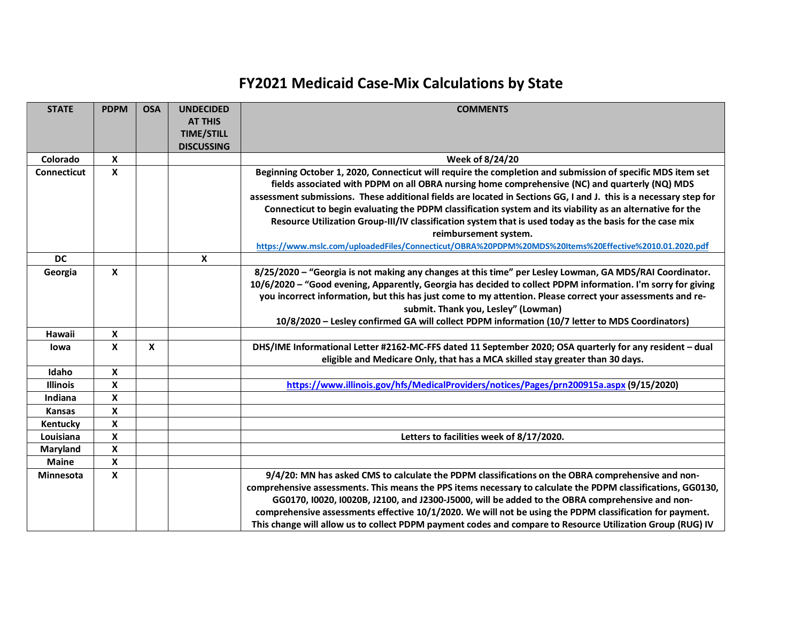## **FY2021 Medicaid Case-Mix Calculations by State**

| <b>STATE</b>       | <b>PDPM</b>        | <b>OSA</b>                | <b>UNDECIDED</b><br><b>AT THIS</b><br><b>TIME/STILL</b><br><b>DISCUSSING</b> | <b>COMMENTS</b>                                                                                                                                                                                                                                                                                                                                                                                                                                                                                                                                                                                                                                                                               |
|--------------------|--------------------|---------------------------|------------------------------------------------------------------------------|-----------------------------------------------------------------------------------------------------------------------------------------------------------------------------------------------------------------------------------------------------------------------------------------------------------------------------------------------------------------------------------------------------------------------------------------------------------------------------------------------------------------------------------------------------------------------------------------------------------------------------------------------------------------------------------------------|
| Colorado           | X                  |                           |                                                                              | Week of 8/24/20                                                                                                                                                                                                                                                                                                                                                                                                                                                                                                                                                                                                                                                                               |
| <b>Connecticut</b> | X                  |                           |                                                                              | Beginning October 1, 2020, Connecticut will require the completion and submission of specific MDS item set<br>fields associated with PDPM on all OBRA nursing home comprehensive (NC) and quarterly (NQ) MDS<br>assessment submissions. These additional fields are located in Sections GG, I and J. this is a necessary step for<br>Connecticut to begin evaluating the PDPM classification system and its viability as an alternative for the<br>Resource Utilization Group-III/IV classification system that is used today as the basis for the case mix<br>reimbursement system.<br>https://www.mslc.com/uploadedFiles/Connecticut/OBRA%20PDPM%20MDS%20Items%20Effective%2010.01.2020.pdf |
| <b>DC</b>          |                    |                           | X                                                                            |                                                                                                                                                                                                                                                                                                                                                                                                                                                                                                                                                                                                                                                                                               |
| Georgia            | X                  |                           |                                                                              | 8/25/2020 - "Georgia is not making any changes at this time" per Lesley Lowman, GA MDS/RAI Coordinator.<br>10/6/2020 - "Good evening, Apparently, Georgia has decided to collect PDPM information. I'm sorry for giving<br>you incorrect information, but this has just come to my attention. Please correct your assessments and re-<br>submit. Thank you, Lesley" (Lowman)<br>10/8/2020 - Lesley confirmed GA will collect PDPM information (10/7 letter to MDS Coordinators)                                                                                                                                                                                                               |
| Hawaii             | $\mathbf x$        |                           |                                                                              |                                                                                                                                                                                                                                                                                                                                                                                                                                                                                                                                                                                                                                                                                               |
| lowa               | X                  | $\boldsymbol{\mathsf{x}}$ |                                                                              | DHS/IME Informational Letter #2162-MC-FFS dated 11 September 2020; OSA quarterly for any resident - dual<br>eligible and Medicare Only, that has a MCA skilled stay greater than 30 days.                                                                                                                                                                                                                                                                                                                                                                                                                                                                                                     |
| Idaho              | X                  |                           |                                                                              |                                                                                                                                                                                                                                                                                                                                                                                                                                                                                                                                                                                                                                                                                               |
| <b>Illinois</b>    | X                  |                           |                                                                              | https://www.illinois.gov/hfs/MedicalProviders/notices/Pages/prn200915a.aspx (9/15/2020)                                                                                                                                                                                                                                                                                                                                                                                                                                                                                                                                                                                                       |
| Indiana            | X                  |                           |                                                                              |                                                                                                                                                                                                                                                                                                                                                                                                                                                                                                                                                                                                                                                                                               |
| <b>Kansas</b>      | $\pmb{\mathsf{X}}$ |                           |                                                                              |                                                                                                                                                                                                                                                                                                                                                                                                                                                                                                                                                                                                                                                                                               |
| Kentucky           | X                  |                           |                                                                              |                                                                                                                                                                                                                                                                                                                                                                                                                                                                                                                                                                                                                                                                                               |
| Louisiana          | X                  |                           |                                                                              | Letters to facilities week of 8/17/2020.                                                                                                                                                                                                                                                                                                                                                                                                                                                                                                                                                                                                                                                      |
| Maryland           | $\pmb{\mathsf{X}}$ |                           |                                                                              |                                                                                                                                                                                                                                                                                                                                                                                                                                                                                                                                                                                                                                                                                               |
| <b>Maine</b>       | $\pmb{\mathsf{X}}$ |                           |                                                                              |                                                                                                                                                                                                                                                                                                                                                                                                                                                                                                                                                                                                                                                                                               |
| <b>Minnesota</b>   | X                  |                           |                                                                              | 9/4/20: MN has asked CMS to calculate the PDPM classifications on the OBRA comprehensive and non-<br>comprehensive assessments. This means the PPS items necessary to calculate the PDPM classifications, GG0130,<br>GG0170, I0020, I0020B, J2100, and J2300-J5000, will be added to the OBRA comprehensive and non-<br>comprehensive assessments effective 10/1/2020. We will not be using the PDPM classification for payment.<br>This change will allow us to collect PDPM payment codes and compare to Resource Utilization Group (RUG) IV                                                                                                                                                |